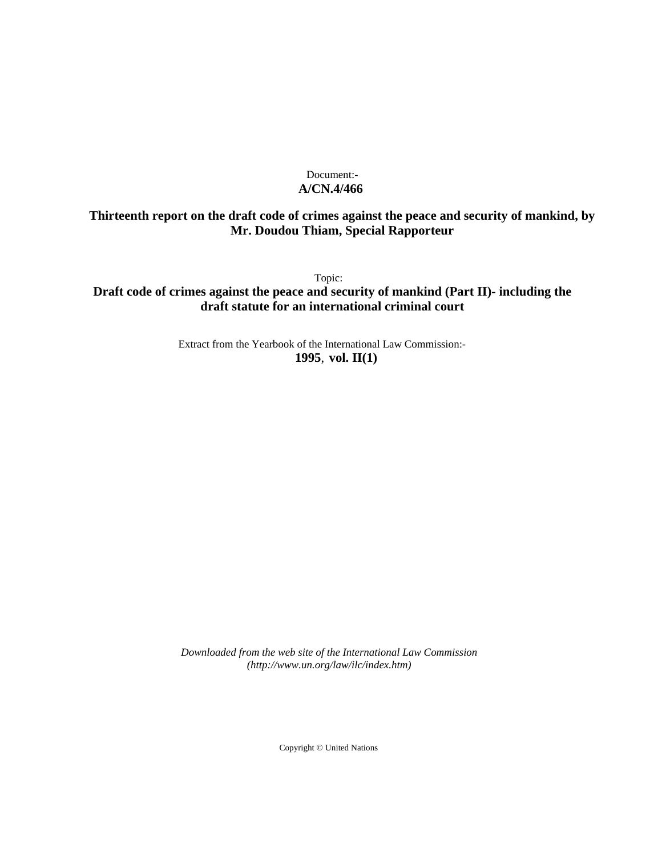# Document:- **A/CN.4/466**

# **Thirteenth report on the draft code of crimes against the peace and security of mankind, by Mr. Doudou Thiam, Special Rapporteur**

Topic:

**Draft code of crimes against the peace and security of mankind (Part II)- including the draft statute for an international criminal court**

> Extract from the Yearbook of the International Law Commission:- **1995**, **vol. II(1)**

*Downloaded from the web site of the International Law Commission (http://www.un.org/law/ilc/index.htm)*

Copyright © United Nations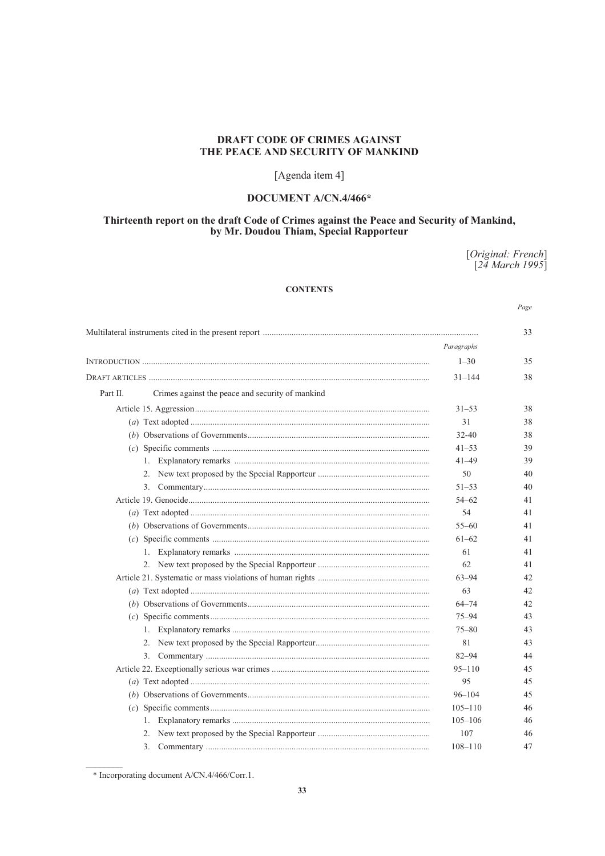# **DRAFT CODE OF CRIMES AGAINST** THE PEACE AND SECURITY OF MANKIND

# [Agenda item 4]

# DOCUMENT A/CN.4/466\*

# Thirteenth report on the draft Code of Crimes against the Peace and Security of Mankind,<br>by Mr. Doudou Thiam, Special Rapporteur

[Original: French]<br>[24 March 1995]

# **CONTENTS**

Page

|          |                                                  |             | 33 |
|----------|--------------------------------------------------|-------------|----|
|          |                                                  | Paragraphs  |    |
|          |                                                  | $1 - 30$    | 35 |
|          |                                                  | $31 - 144$  | 38 |
| Part II. | Crimes against the peace and security of mankind |             |    |
|          |                                                  | $31 - 53$   | 38 |
|          |                                                  | 31          | 38 |
|          |                                                  | $32 - 40$   | 38 |
|          |                                                  | $41 - 53$   | 39 |
|          |                                                  | $41 - 49$   | 39 |
|          |                                                  | 50          | 40 |
|          | 3.                                               | $51 - 53$   | 40 |
|          |                                                  | $54 - 62$   | 41 |
|          |                                                  | 54          | 41 |
|          |                                                  | $55 - 60$   | 41 |
|          |                                                  | $61 - 62$   | 41 |
|          |                                                  | 61          | 41 |
|          |                                                  | 62          | 41 |
|          |                                                  | $63 - 94$   | 42 |
|          |                                                  | 63          | 42 |
|          |                                                  | $64 - 74$   | 42 |
|          |                                                  | $75 - 94$   | 43 |
|          |                                                  | $75 - 80$   | 43 |
|          |                                                  | 81          | 43 |
|          |                                                  | $82 - 94$   | 44 |
|          |                                                  | $95 - 110$  | 45 |
|          |                                                  | 95          | 45 |
|          |                                                  | $96 - 104$  | 45 |
|          |                                                  | $105 - 110$ | 46 |
|          | 1.                                               | $105 - 106$ | 46 |
|          |                                                  | 107         | 46 |
|          | 3.                                               | $108 - 110$ | 47 |

<sup>\*</sup> Incorporating document A/CN.4/466/Corr.1.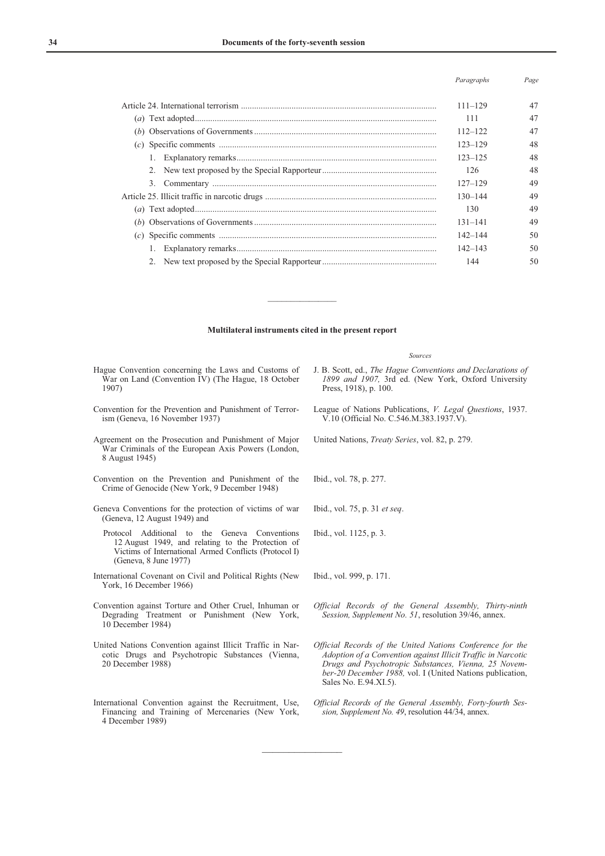#### *Paragraphs Page*

|                | $111 - 129$ |  |
|----------------|-------------|--|
|                | 111         |  |
|                | $112 - 122$ |  |
|                | $123 - 129$ |  |
|                | $123 - 125$ |  |
|                | 126         |  |
| 3 <sub>1</sub> | $127 - 129$ |  |
|                | $130 - 144$ |  |
|                | 130         |  |
|                | $131 - 141$ |  |
|                | $142 - 144$ |  |
|                | $142 - 143$ |  |
|                | 144         |  |

#### **Multilateral instruments cited in the present report**

 $\frac{1}{2}$ 

 $\frac{1}{2}$ 

Hague Convention concerning the Laws and Customs of War on Land (Convention IV) (The Hague, 18 October 1907)

- Convention for the Prevention and Punishment of Terrorism (Geneva, 16 November 1937)
- Agreement on the Prosecution and Punishment of Major War Criminals of the European Axis Powers (London, 8 August 1945)
- Convention on the Prevention and Punishment of the Crime of Genocide (New York, 9 December 1948)
- Geneva Conventions for the protection of victims of war (Geneva, 12 August 1949) and
	- Protocol Additional to the Geneva Conventions 12 August 1949, and relating to the Protection of Victims of International Armed Conflicts (Protocol I) (Geneva, 8 June 1977)
- International Covenant on Civil and Political Rights (New York, 16 December 1966)
- Convention against Torture and Other Cruel, Inhuman or Degrading Treatment or Punishment (New York, 10 December 1984)
- United Nations Convention against Illicit Traffic in Narcotic Drugs and Psychotropic Substances (Vienna, 20 December 1988)
- International Convention against the Recruitment, Use, Financing and Training of Mercenaries (New York, 4 December 1989)
- *Sources* J. B. Scott, ed., *The Hague Conventions and Declarations of 1899 and 1907,* 3rd ed. (New York, Oxford University Press, 1918), p. 100.
- League of Nations Publications, *V. Legal Questions*, 1937. V.10 (Official No. C.546.M.383.1937.V).
- United Nations, *Treaty Series*, vol. 82, p. 279.

Ibid., vol. 78, p. 277.

- Ibid., vol. 75, p. 31 *et seq*.
- Ibid., vol. 1125, p. 3.
- Ibid., vol. 999, p. 171.
- *Official Records of the General Assembly, Thirty-ninth Session, Supplement No. 51*, resolution 39/46, annex.
- *Official Records of the United Nations Conference for the Adoption of a Convention against Illicit Traffic in Narcotic Drugs and Psychotropic Substances, Vienna, 25 November-20 December 1988,* vol. I (United Nations publication, Sales No. E.94.XI.5).
- *Official Records of the General Assembly, Forty-fourth Session, Supplement No. 49*, resolution 44/34, annex.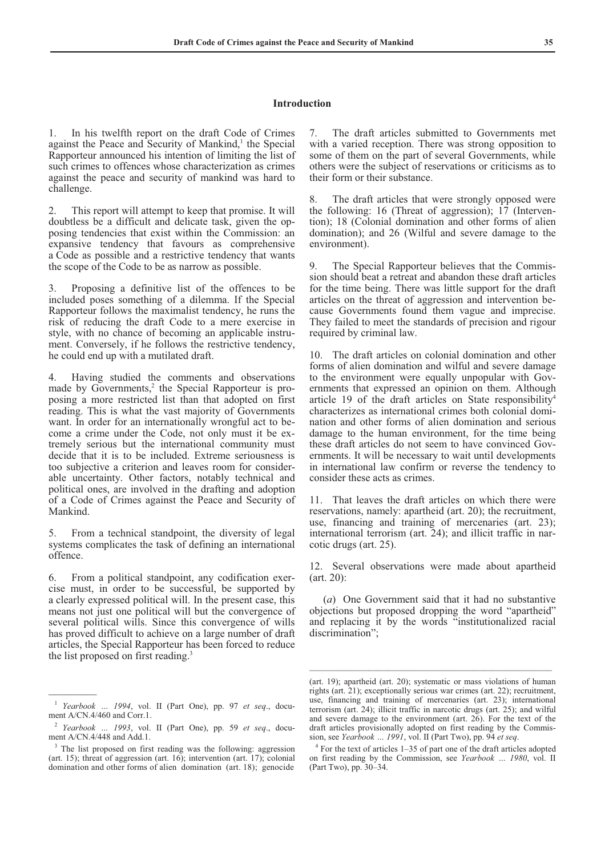#### **Introduction**

1. In his twelfth report on the draft Code of Crimes against the Peace and Security of Mankind,<sup>1</sup> the Special Rapporteur announced his intention of limiting the list of such crimes to offences whose characterization as crimes against the peace and security of mankind was hard to challenge.

2. This report will attempt to keep that promise. It will doubtless be a difficult and delicate task, given the opposing tendencies that exist within the Commission: an expansive tendency that favours as comprehensive a Code as possible and a restrictive tendency that wants the scope of the Code to be as narrow as possible.

3. Proposing a definitive list of the offences to be included poses something of a dilemma. If the Special Rapporteur follows the maximalist tendency, he runs the risk of reducing the draft Code to a mere exercise in style, with no chance of becoming an applicable instrument. Conversely, if he follows the restrictive tendency, he could end up with a mutilated draft.

4. Having studied the comments and observations made by Governments,<sup>2</sup> the Special Rapporteur is proposing a more restricted list than that adopted on first reading. This is what the vast majority of Governments want. In order for an internationally wrongful act to become a crime under the Code, not only must it be extremely serious but the international community must decide that it is to be included. Extreme seriousness is too subjective a criterion and leaves room for considerable uncertainty. Other factors, notably technical and political ones, are involved in the drafting and adoption of a Code of Crimes against the Peace and Security of Mankind.

5. From a technical standpoint, the diversity of legal systems complicates the task of defining an international offence.

6. From a political standpoint, any codification exercise must, in order to be successful, be supported by a clearly expressed political will. In the present case, this means not just one political will but the convergence of several political wills. Since this convergence of wills has proved difficult to achieve on a large number of draft articles, the Special Rapporteur has been forced to reduce the list proposed on first reading.<sup>3</sup>

 $\overline{\phantom{a}}$ 

7. The draft articles submitted to Governments met with a varied reception. There was strong opposition to some of them on the part of several Governments, while others were the subject of reservations or criticisms as to their form or their substance.

8. The draft articles that were strongly opposed were the following: 16 (Threat of aggression); 17 (Intervention); 18 (Colonial domination and other forms of alien domination); and 26 (Wilful and severe damage to the environment).

9. The Special Rapporteur believes that the Commission should beat a retreat and abandon these draft articles for the time being. There was little support for the draft articles on the threat of aggression and intervention because Governments found them vague and imprecise. They failed to meet the standards of precision and rigour required by criminal law.

10. The draft articles on colonial domination and other forms of alien domination and wilful and severe damage to the environment were equally unpopular with Governments that expressed an opinion on them. Although article 19 of the draft articles on State responsibility<sup>4</sup> characterizes as international crimes both colonial domination and other forms of alien domination and serious damage to the human environment, for the time being these draft articles do not seem to have convinced Governments. It will be necessary to wait until developments in international law confirm or reverse the tendency to consider these acts as crimes.

11. That leaves the draft articles on which there were reservations, namely: apartheid (art. 20); the recruitment, use, financing and training of mercenaries (art. 23); international terrorism (art. 24); and illicit traffic in narcotic drugs (art. 25).

12. Several observations were made about apartheid (art. 20):

 (*a*) One Government said that it had no substantive objections but proposed dropping the word "apartheid" and replacing it by the words "institutionalized racial discrimination";

\_\_\_\_\_\_\_\_\_\_\_\_\_\_\_\_\_\_\_\_\_\_\_\_\_\_\_\_\_\_\_\_\_\_\_\_\_\_\_\_\_\_\_\_\_\_\_\_\_\_\_\_\_

<sup>1</sup> *Yearbook … 1994*, vol. II (Part One), pp. 97 *et seq*., document A/CN.4/460 and Corr.1.

<sup>2</sup> *Yearbook … 1993*, vol. II (Part One), pp. 59 *et seq*., document A/CN.4/448 and Add.1.

<sup>&</sup>lt;sup>3</sup> The list proposed on first reading was the following: aggression (art. 15); threat of aggression (art. 16); intervention (art. 17); colonial domination and other forms of alien domination (art. 18); genocide

<sup>(</sup>art. 19); apartheid (art. 20); systematic or mass violations of human rights (art. 21); exceptionally serious war crimes (art. 22); recruitment, use, financing and training of mercenaries (art. 23); international terrorism (art. 24); illicit traffic in narcotic drugs (art. 25); and wilful and severe damage to the environment (art. 26). For the text of the draft articles provisionally adopted on first reading by the Commission, see *Yearbook … 1991*, vol. II (Part Two), pp. 94 *et seq*.

<sup>&</sup>lt;sup>4</sup> For the text of articles 1–35 of part one of the draft articles adopted on first reading by the Commission, see *Yearbook … 1980*, vol. II (Part Two), pp. 30–34.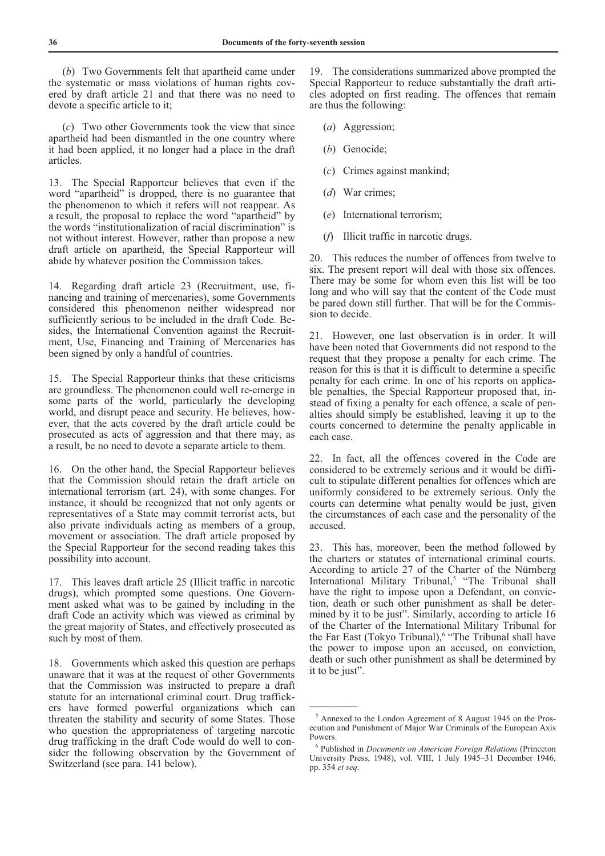(*b*) Two Governments felt that apartheid came under the systematic or mass violations of human rights covered by draft article 21 and that there was no need to devote a specific article to it;

 (*c*) Two other Governments took the view that since apartheid had been dismantled in the one country where it had been applied, it no longer had a place in the draft articles.

13. The Special Rapporteur believes that even if the word "apartheid" is dropped, there is no guarantee that the phenomenon to which it refers will not reappear. As a result, the proposal to replace the word "apartheid" by the words "institutionalization of racial discrimination" is not without interest. However, rather than propose a new draft article on apartheid, the Special Rapporteur will abide by whatever position the Commission takes.

14. Regarding draft article 23 (Recruitment, use, financing and training of mercenaries), some Governments considered this phenomenon neither widespread nor sufficiently serious to be included in the draft Code. Besides, the International Convention against the Recruitment, Use, Financing and Training of Mercenaries has been signed by only a handful of countries.

15. The Special Rapporteur thinks that these criticisms are groundless. The phenomenon could well re-emerge in some parts of the world, particularly the developing world, and disrupt peace and security. He believes, however, that the acts covered by the draft article could be prosecuted as acts of aggression and that there may, as a result, be no need to devote a separate article to them.

16. On the other hand, the Special Rapporteur believes that the Commission should retain the draft article on international terrorism (art. 24), with some changes. For instance, it should be recognized that not only agents or representatives of a State may commit terrorist acts, but also private individuals acting as members of a group, movement or association. The draft article proposed by the Special Rapporteur for the second reading takes this possibility into account.

17. This leaves draft article 25 (Illicit traffic in narcotic drugs), which prompted some questions. One Government asked what was to be gained by including in the draft Code an activity which was viewed as criminal by the great majority of States, and effectively prosecuted as such by most of them.

18. Governments which asked this question are perhaps unaware that it was at the request of other Governments that the Commission was instructed to prepare a draft statute for an international criminal court. Drug traffickers have formed powerful organizations which can threaten the stability and security of some States. Those who question the appropriateness of targeting narcotic drug trafficking in the draft Code would do well to consider the following observation by the Government of Switzerland (see para. 141 below).

19. The considerations summarized above prompted the Special Rapporteur to reduce substantially the draft articles adopted on first reading. The offences that remain are thus the following:

- (*a*) Aggression;
- (*b*) Genocide;
- (*c*) Crimes against mankind;
- (*d*) War crimes;
- (*e*) International terrorism;
- (*f*) Illicit traffic in narcotic drugs.

20. This reduces the number of offences from twelve to six. The present report will deal with those six offences. There may be some for whom even this list will be too long and who will say that the content of the Code must be pared down still further. That will be for the Commission to decide.

21. However, one last observation is in order. It will have been noted that Governments did not respond to the request that they propose a penalty for each crime. The reason for this is that it is difficult to determine a specific penalty for each crime. In one of his reports on applicable penalties, the Special Rapporteur proposed that, instead of fixing a penalty for each offence, a scale of penalties should simply be established, leaving it up to the courts concerned to determine the penalty applicable in each case.

22. In fact, all the offences covered in the Code are considered to be extremely serious and it would be difficult to stipulate different penalties for offences which are uniformly considered to be extremely serious. Only the courts can determine what penalty would be just, given the circumstances of each case and the personality of the accused.

23. This has, moreover, been the method followed by the charters or statutes of international criminal courts. According to article 27 of the Charter of the Nürnberg International Military Tribunal,<sup>5</sup> "The Tribunal shall have the right to impose upon a Defendant, on conviction, death or such other punishment as shall be determined by it to be just". Similarly, according to article 16 of the Charter of the International Military Tribunal for the Far East (Tokyo Tribunal),<sup>6</sup> "The Tribunal shall have the power to impose upon an accused, on conviction, death or such other punishment as shall be determined by it to be just".

<sup>&</sup>lt;sup>5</sup> Annexed to the London Agreement of 8 August 1945 on the Prosecution and Punishment of Major War Criminals of the European Axis Powers.

<sup>6</sup> Published in *Documents on American Foreign Relations* (Princeton University Press, 1948), vol. VIII, 1 July 1945–31 December 1946, pp. 354 *et seq*.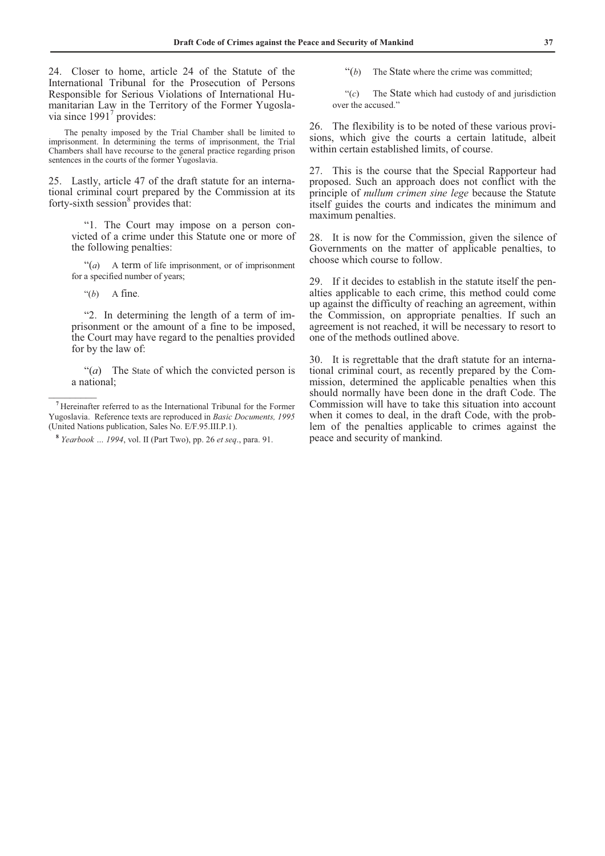24. Closer to home, article 24 of the Statute of the International Tribunal for the Prosecution of Persons Responsible for Serious Violations of International Humanitarian Law in the Territory of the Former Yugoslavia since  $1991<sup>7</sup>$  provides:

 The penalty imposed by the Trial Chamber shall be limited to imprisonment. In determining the terms of imprisonment, the Trial Chambers shall have recourse to the general practice regarding prison sentences in the courts of the former Yugoslavia.

25. Lastly, article 47 of the draft statute for an international criminal court prepared by the Commission at its forty-sixth session $8$  provides that:

 "1. The Court may impose on a person convicted of a crime under this Statute one or more of the following penalties:

 "(*a*) A term of life imprisonment, or of imprisonment for a specified number of years;

" $(b)$  A fine.

 $\frac{1}{2}$ 

 "2. In determining the length of a term of imprisonment or the amount of a fine to be imposed, the Court may have regard to the penalties provided for by the law of:

 "(*a*) The State of which the convicted person is a national;

"(b) The State where the crime was committed;

 "(*c*) The State which had custody of and jurisdiction over the accused."

26. The flexibility is to be noted of these various provisions, which give the courts a certain latitude, albeit within certain established limits, of course.

27. This is the course that the Special Rapporteur had proposed. Such an approach does not conflict with the principle of *nullum crimen sine lege* because the Statute itself guides the courts and indicates the minimum and maximum penalties.

28. It is now for the Commission, given the silence of Governments on the matter of applicable penalties, to choose which course to follow.

29. If it decides to establish in the statute itself the penalties applicable to each crime, this method could come up against the difficulty of reaching an agreement, within the Commission, on appropriate penalties. If such an agreement is not reached, it will be necessary to resort to one of the methods outlined above.

30. It is regrettable that the draft statute for an international criminal court, as recently prepared by the Commission, determined the applicable penalties when this should normally have been done in the draft Code. The Commission will have to take this situation into account when it comes to deal, in the draft Code, with the problem of the penalties applicable to crimes against the peace and security of mankind.

**<sup>7</sup>** Hereinafter referred to as the International Tribunal for the Former Yugoslavia. Reference texts are reproduced in *Basic Documents, 1995*  (United Nations publication, Sales No. E/F.95.III.P.1).

**<sup>8</sup>** *Yearbook … 1994*, vol. II (Part Two), pp. 26 *et seq*., para. 91.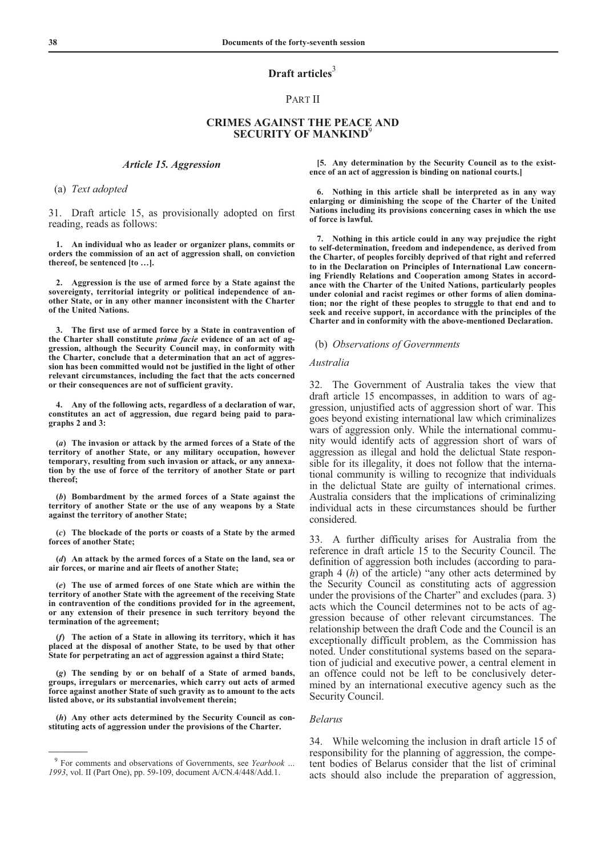# **Draft articles**<sup>3</sup>

#### PART II

# **CRIMES AGAINST THE PEACE AND SECURITY OF MANKIND**<sup>9</sup>

#### *Article 15. Aggression*

(a) *Text adopted*

31. Draft article 15, as provisionally adopted on first reading, reads as follows:

 **1. An individual who as leader or organizer plans, commits or orders the commission of an act of aggression shall, on conviction thereof, be sentenced [to …].** 

 **2. Aggression is the use of armed force by a State against the sovereignty, territorial integrity or political independence of another State, or in any other manner inconsistent with the Charter of the United Nations.** 

 **3. The first use of armed force by a State in contravention of the Charter shall constitute** *prima facie* **evidence of an act of aggression, although the Security Council may, in conformity with the Charter, conclude that a determination that an act of aggression has been committed would not be justified in the light of other relevant circumstances, including the fact that the acts concerned or their consequences are not of sufficient gravity.** 

Any of the following acts, regardless of a declaration of war, **constitutes an act of aggression, due regard being paid to paragraphs 2 and 3:** 

 **(***a***) The invasion or attack by the armed forces of a State of the territory of another State, or any military occupation, however temporary, resulting from such invasion or attack, or any annexation by the use of force of the territory of another State or part thereof;** 

 **(***b***) Bombardment by the armed forces of a State against the territory of another State or the use of any weapons by a State against the territory of another State;** 

 **(***c***) The blockade of the ports or coasts of a State by the armed forces of another State;** 

 **(***d***) An attack by the armed forces of a State on the land, sea or air forces, or marine and air fleets of another State;** 

 **(***e***) The use of armed forces of one State which are within the territory of another State with the agreement of the receiving State in contravention of the conditions provided for in the agreement, or any extension of their presence in such territory beyond the termination of the agreement;** 

 **(***f***) The action of a State in allowing its territory, which it has placed at the disposal of another State, to be used by that other State for perpetrating an act of aggression against a third State;** 

 **(***g***) The sending by or on behalf of a State of armed bands, groups, irregulars or mercenaries, which carry out acts of armed force against another State of such gravity as to amount to the acts listed above, or its substantial involvement therein;** 

 **(***h***) Any other acts determined by the Security Council as constituting acts of aggression under the provisions of the Charter.** 

**\_\_\_\_\_\_\_\_\_** 

 **[5. Any determination by the Security Council as to the existence of an act of aggression is binding on national courts.]** 

 **6. Nothing in this article shall be interpreted as in any way enlarging or diminishing the scope of the Charter of the United Nations including its provisions concerning cases in which the use of force is lawful.** 

 **7. Nothing in this article could in any way prejudice the right to self-determination, freedom and independence, as derived from the Charter, of peoples forcibly deprived of that right and referred to in the Declaration on Principles of International Law concerning Friendly Relations and Cooperation among States in accordance with the Charter of the United Nations, particularly peoples under colonial and racist regimes or other forms of alien domination; nor the right of these peoples to struggle to that end and to seek and receive support, in accordance with the principles of the Charter and in conformity with the above-mentioned Declaration.** 

#### (b) *Observations of Governments*

#### *Australia*

32. The Government of Australia takes the view that draft article 15 encompasses, in addition to wars of aggression, unjustified acts of aggression short of war. This goes beyond existing international law which criminalizes wars of aggression only. While the international community would identify acts of aggression short of wars of aggression as illegal and hold the delictual State responsible for its illegality, it does not follow that the international community is willing to recognize that individuals in the delictual State are guilty of international crimes. Australia considers that the implications of criminalizing individual acts in these circumstances should be further considered.

33. A further difficulty arises for Australia from the reference in draft article 15 to the Security Council. The definition of aggression both includes (according to paragraph 4 (*h*) of the article) "any other acts determined by the Security Council as constituting acts of aggression under the provisions of the Charter" and excludes (para. 3) acts which the Council determines not to be acts of aggression because of other relevant circumstances. The relationship between the draft Code and the Council is an exceptionally difficult problem, as the Commission has noted. Under constitutional systems based on the separation of judicial and executive power, a central element in an offence could not be left to be conclusively determined by an international executive agency such as the Security Council.

#### *Belarus*

34. While welcoming the inclusion in draft article 15 of responsibility for the planning of aggression, the competent bodies of Belarus consider that the list of criminal acts should also include the preparation of aggression,

<sup>9</sup> For comments and observations of Governments, see *Yearbook … 1993*, vol. II (Part One), pp. 59-109, document A/CN.4/448/Add.1.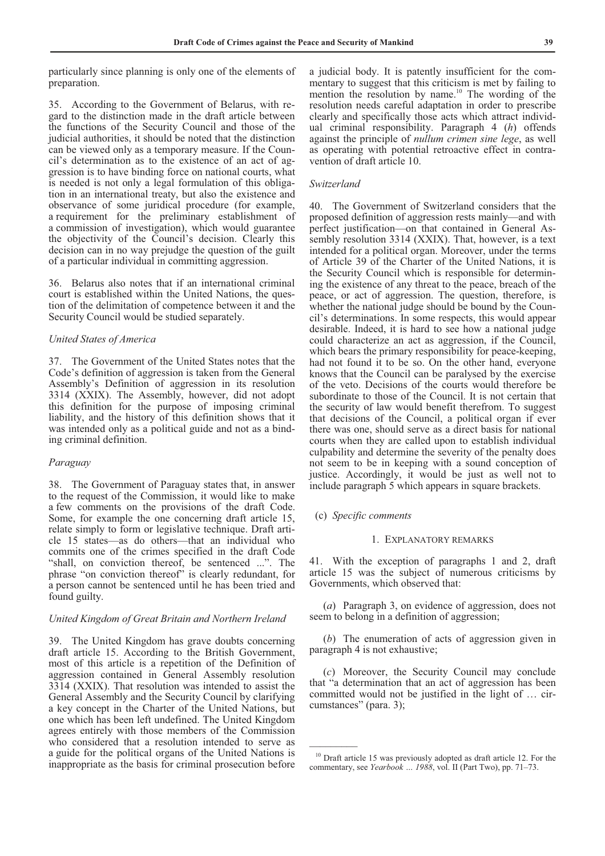particularly since planning is only one of the elements of preparation.

35. According to the Government of Belarus, with regard to the distinction made in the draft article between the functions of the Security Council and those of the judicial authorities, it should be noted that the distinction can be viewed only as a temporary measure. If the Council's determination as to the existence of an act of aggression is to have binding force on national courts, what is needed is not only a legal formulation of this obligation in an international treaty, but also the existence and observance of some juridical procedure (for example, a requirement for the preliminary establishment of a commission of investigation), which would guarantee the objectivity of the Council's decision. Clearly this decision can in no way prejudge the question of the guilt of a particular individual in committing aggression.

36. Belarus also notes that if an international criminal court is established within the United Nations, the question of the delimitation of competence between it and the Security Council would be studied separately.

# *United States of America*

37. The Government of the United States notes that the Code's definition of aggression is taken from the General Assembly's Definition of aggression in its resolution 3314 (XXIX). The Assembly, however, did not adopt this definition for the purpose of imposing criminal liability, and the history of this definition shows that it was intended only as a political guide and not as a binding criminal definition.

# *Paraguay*

38. The Government of Paraguay states that, in answer to the request of the Commission, it would like to make a few comments on the provisions of the draft Code. Some, for example the one concerning draft article 15, relate simply to form or legislative technique. Draft article 15 states—as do others—that an individual who commits one of the crimes specified in the draft Code "shall, on conviction thereof, be sentenced ...". The phrase "on conviction thereof" is clearly redundant, for a person cannot be sentenced until he has been tried and found guilty.

### *United Kingdom of Great Britain and Northern Ireland*

39. The United Kingdom has grave doubts concerning draft article 15. According to the British Government, most of this article is a repetition of the Definition of aggression contained in General Assembly resolution 3314 (XXIX). That resolution was intended to assist the General Assembly and the Security Council by clarifying a key concept in the Charter of the United Nations, but one which has been left undefined. The United Kingdom agrees entirely with those members of the Commission who considered that a resolution intended to serve as a guide for the political organs of the United Nations is inappropriate as the basis for criminal prosecution before

a judicial body. It is patently insufficient for the commentary to suggest that this criticism is met by failing to mention the resolution by name.<sup>10</sup> The wording of the resolution needs careful adaptation in order to prescribe clearly and specifically those acts which attract individual criminal responsibility. Paragraph 4 (*h*) offends against the principle of *nullum crimen sine lege*, as well as operating with potential retroactive effect in contravention of draft article 10.

#### *Switzerland*

40. The Government of Switzerland considers that the proposed definition of aggression rests mainly—and with perfect justification—on that contained in General Assembly resolution 3314 (XXIX). That, however, is a text intended for a political organ. Moreover, under the terms of Article 39 of the Charter of the United Nations, it is the Security Council which is responsible for determining the existence of any threat to the peace, breach of the peace, or act of aggression. The question, therefore, is whether the national judge should be bound by the Council's determinations. In some respects, this would appear desirable. Indeed, it is hard to see how a national judge could characterize an act as aggression, if the Council, which bears the primary responsibility for peace-keeping, had not found it to be so. On the other hand, everyone knows that the Council can be paralysed by the exercise of the veto. Decisions of the courts would therefore be subordinate to those of the Council. It is not certain that the security of law would benefit therefrom. To suggest that decisions of the Council, a political organ if ever there was one, should serve as a direct basis for national courts when they are called upon to establish individual culpability and determine the severity of the penalty does not seem to be in keeping with a sound conception of justice. Accordingly, it would be just as well not to include paragraph 5 which appears in square brackets.

# (c) *Specific comments*

 $\frac{1}{2}$ 

# 1. EXPLANATORY REMARKS

41. With the exception of paragraphs 1 and 2, draft article 15 was the subject of numerous criticisms by Governments, which observed that:

 (*a*) Paragraph 3, on evidence of aggression, does not seem to belong in a definition of aggression;

 (*b*) The enumeration of acts of aggression given in paragraph 4 is not exhaustive;

 (*c*) Moreover, the Security Council may conclude that "a determination that an act of aggression has been committed would not be justified in the light of … circumstances" (para. 3);

 $10$  Draft article 15 was previously adopted as draft article 12. For the commentary, see *Yearbook … 1988*, vol. II (Part Two), pp. 71–73.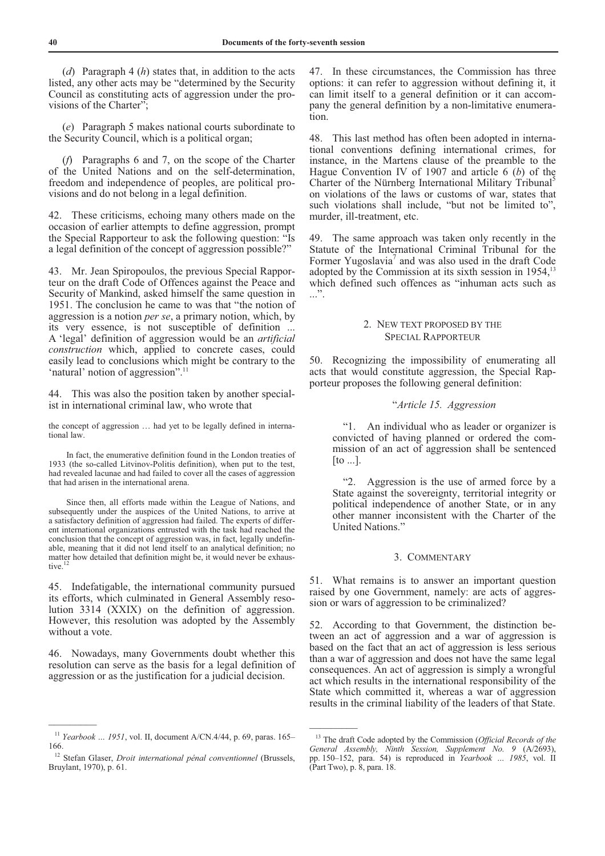(*d*) Paragraph 4 (*h*) states that, in addition to the acts listed, any other acts may be "determined by the Security Council as constituting acts of aggression under the provisions of the Charter";

 (*e*) Paragraph 5 makes national courts subordinate to the Security Council, which is a political organ;

 (*f*) Paragraphs 6 and 7, on the scope of the Charter of the United Nations and on the self-determination, freedom and independence of peoples, are political provisions and do not belong in a legal definition.

42. These criticisms, echoing many others made on the occasion of earlier attempts to define aggression, prompt the Special Rapporteur to ask the following question: "Is a legal definition of the concept of aggression possible?"

43. Mr. Jean Spiropoulos, the previous Special Rapporteur on the draft Code of Offences against the Peace and Security of Mankind, asked himself the same question in 1951. The conclusion he came to was that "the notion of aggression is a notion *per se*, a primary notion, which, by its very essence, is not susceptible of definition ... A 'legal' definition of aggression would be an *artificial construction* which, applied to concrete cases, could easily lead to conclusions which might be contrary to the 'natural' notion of aggression".<sup>11</sup>

44. This was also the position taken by another specialist in international criminal law, who wrote that

the concept of aggression … had yet to be legally defined in international law.

 In fact, the enumerative definition found in the London treaties of 1933 (the so-called Litvinov-Politis definition), when put to the test, had revealed lacunae and had failed to cover all the cases of aggression that had arisen in the international arena.

 Since then, all efforts made within the League of Nations, and subsequently under the auspices of the United Nations, to arrive at a satisfactory definition of aggression had failed. The experts of different international organizations entrusted with the task had reached the conclusion that the concept of aggression was, in fact, legally undefinable, meaning that it did not lend itself to an analytical definition; no matter how detailed that definition might be, it would never be exhaustive.

45. Indefatigable, the international community pursued its efforts, which culminated in General Assembly resolution 3314 (XXIX) on the definition of aggression. However, this resolution was adopted by the Assembly without a vote.

46. Nowadays, many Governments doubt whether this resolution can serve as the basis for a legal definition of aggression or as the justification for a judicial decision.

 $\overline{\phantom{a}}$ 

47. In these circumstances, the Commission has three options: it can refer to aggression without defining it, it can limit itself to a general definition or it can accompany the general definition by a non-limitative enumeration.

48. This last method has often been adopted in international conventions defining international crimes, for instance, in the Martens clause of the preamble to the Hague Convention IV of 1907 and article 6 (*b*) of the Charter of the Nürnberg International Military Tribunal<sup>5</sup> on violations of the laws or customs of war, states that such violations shall include, "but not be limited to", murder, ill-treatment, etc.

49. The same approach was taken only recently in the Statute of the International Criminal Tribunal for the Former Yugoslavia<sup>7</sup> and was also used in the draft Code adopted by the Commission at its sixth session in 1954,<sup>13</sup> which defined such offences as "inhuman acts such as ...".

# 2. NEW TEXT PROPOSED BY THE SPECIAL RAPPORTEUR

50. Recognizing the impossibility of enumerating all acts that would constitute aggression, the Special Rapporteur proposes the following general definition:

# "*Article 15. Aggression*

 "1. An individual who as leader or organizer is convicted of having planned or ordered the commission of an act of aggression shall be sentenced [to ...].

 "2. Aggression is the use of armed force by a State against the sovereignty, territorial integrity or political independence of another State, or in any other manner inconsistent with the Charter of the United Nations."

#### 3. COMMENTARY

51. What remains is to answer an important question raised by one Government, namely: are acts of aggression or wars of aggression to be criminalized?

52. According to that Government, the distinction between an act of aggression and a war of aggression is based on the fact that an act of aggression is less serious than a war of aggression and does not have the same legal consequences. An act of aggression is simply a wrongful act which results in the international responsibility of the State which committed it, whereas a war of aggression results in the criminal liability of the leaders of that State.

<sup>11</sup> *Yearbook … 1951*, vol. II, document A/CN.4/44, p. 69, paras. 165– 166.

<sup>&</sup>lt;sup>12</sup> Stefan Glaser, *Droit international pénal conventionnel* (Brussels, Bruylant, 1970), p. 61.

<sup>13</sup> The draft Code adopted by the Commission (*Official Records of the General Assembly, Ninth Session, Supplement No. 9* (A/2693), pp. 150–152, para. 54) is reproduced in *Yearbook … 1985*, vol. II (Part Two), p. 8, para. 18.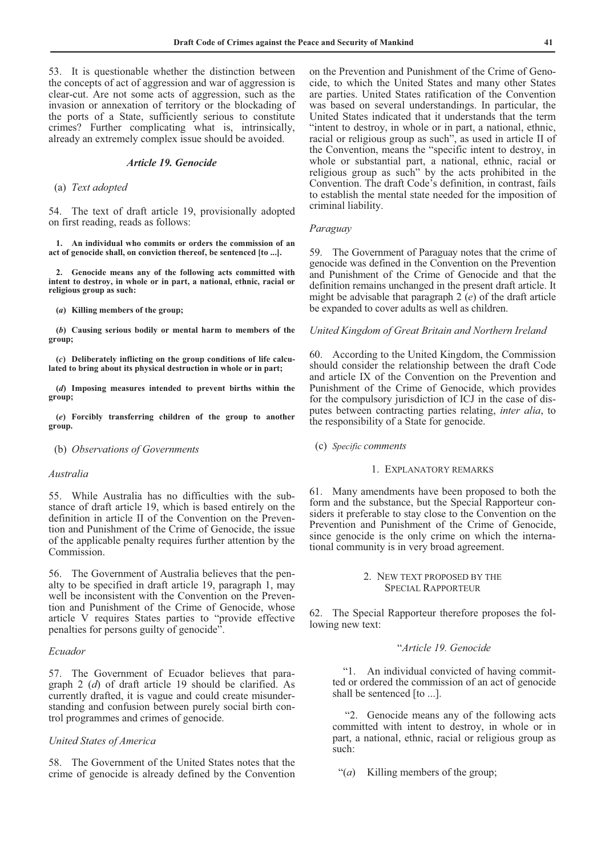53. It is questionable whether the distinction between the concepts of act of aggression and war of aggression is clear-cut. Are not some acts of aggression, such as the invasion or annexation of territory or the blockading of the ports of a State, sufficiently serious to constitute crimes? Further complicating what is, intrinsically, already an extremely complex issue should be avoided.

# *Article 19. Genocide*

#### (a) *Text adopted*

54. The text of draft article 19, provisionally adopted on first reading, reads as follows:

 **1. An individual who commits or orders the commission of an act of genocide shall, on conviction thereof, be sentenced [to ...].** 

 **2. Genocide means any of the following acts committed with intent to destroy, in whole or in part, a national, ethnic, racial or religious group as such:** 

 **(***a***) Killing members of the group;** 

 **(***b***) Causing serious bodily or mental harm to members of the group;** 

 **(***c***) Deliberately inflicting on the group conditions of life calculated to bring about its physical destruction in whole or in part;** 

 **(***d***) Imposing measures intended to prevent births within the group;** 

 **(***e***) Forcibly transferring children of the group to another group.** 

(b) *Observations of Governments* 

#### *Australia*

55. While Australia has no difficulties with the substance of draft article 19, which is based entirely on the definition in article II of the Convention on the Prevention and Punishment of the Crime of Genocide, the issue of the applicable penalty requires further attention by the Commission.

56. The Government of Australia believes that the penalty to be specified in draft article 19, paragraph 1, may well be inconsistent with the Convention on the Prevention and Punishment of the Crime of Genocide, whose article V requires States parties to "provide effective penalties for persons guilty of genocide".

#### *Ecuador*

57. The Government of Ecuador believes that paragraph 2 (*d*) of draft article 19 should be clarified. As currently drafted, it is vague and could create misunderstanding and confusion between purely social birth control programmes and crimes of genocide.

### *United States of America*

58. The Government of the United States notes that the crime of genocide is already defined by the Convention on the Prevention and Punishment of the Crime of Genocide, to which the United States and many other States are parties. United States ratification of the Convention was based on several understandings. In particular, the United States indicated that it understands that the term "intent to destroy, in whole or in part, a national, ethnic, racial or religious group as such", as used in article II of the Convention, means the "specific intent to destroy, in whole or substantial part, a national, ethnic, racial or religious group as such" by the acts prohibited in the Convention. The draft Code's definition, in contrast, fails to establish the mental state needed for the imposition of criminal liability.

#### *Paraguay*

59. The Government of Paraguay notes that the crime of genocide was defined in the Convention on the Prevention and Punishment of the Crime of Genocide and that the definition remains unchanged in the present draft article. It might be advisable that paragraph 2 (*e*) of the draft article be expanded to cover adults as well as children.

#### *United Kingdom of Great Britain and Northern Ireland*

60. According to the United Kingdom, the Commission should consider the relationship between the draft Code and article IX of the Convention on the Prevention and Punishment of the Crime of Genocide, which provides for the compulsory jurisdiction of ICJ in the case of disputes between contracting parties relating, *inter alia*, to the responsibility of a State for genocide.

(c) *Specific comments*

#### 1. EXPLANATORY REMARKS

61. Many amendments have been proposed to both the form and the substance, but the Special Rapporteur considers it preferable to stay close to the Convention on the Prevention and Punishment of the Crime of Genocide, since genocide is the only crime on which the international community is in very broad agreement.

# 2. NEW TEXT PROPOSED BY THE SPECIAL RAPPORTEUR

62. The Special Rapporteur therefore proposes the following new text:

#### "*Article 19. Genocide*

 "1. An individual convicted of having committed or ordered the commission of an act of genocide shall be sentenced [to ...].

 "2. Genocide means any of the following acts committed with intent to destroy, in whole or in part, a national, ethnic, racial or religious group as such:

"(*a*) Killing members of the group;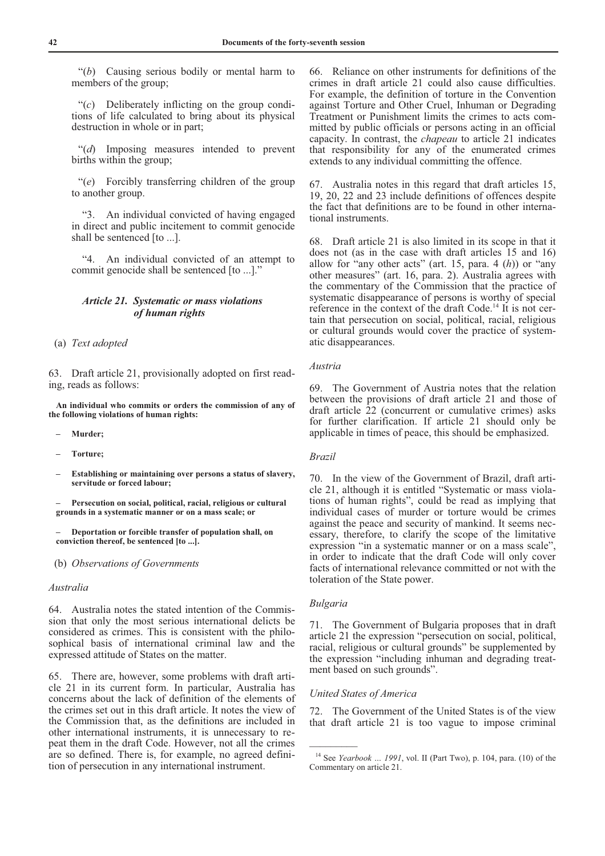"(*b*) Causing serious bodily or mental harm to members of the group;

 "(*c*) Deliberately inflicting on the group conditions of life calculated to bring about its physical destruction in whole or in part;

 "(*d*) Imposing measures intended to prevent births within the group;

 "(*e*) Forcibly transferring children of the group to another group.

 "3. An individual convicted of having engaged in direct and public incitement to commit genocide shall be sentenced [to ...].

 "4. An individual convicted of an attempt to commit genocide shall be sentenced [to ...]."

# *Article 21. Systematic or mass violations of human rights*

## (a) *Text adopted*

63. Draft article 21, provisionally adopted on first reading, reads as follows:

 **An individual who commits or orders the commission of any of the following violations of human rights:** 

- **Murder;**
- **Torture;**
- **Establishing or maintaining over persons a status of slavery, servitude or forced labour;**

 **– Persecution on social, political, racial, religious or cultural grounds in a systematic manner or on a mass scale; or** 

 **– Deportation or forcible transfer of population shall, on conviction thereof, be sentenced [to ...].** 

## (b) *Observations of Governments*

#### *Australia*

64. Australia notes the stated intention of the Commission that only the most serious international delicts be considered as crimes. This is consistent with the philosophical basis of international criminal law and the expressed attitude of States on the matter.

65. There are, however, some problems with draft article 21 in its current form. In particular, Australia has concerns about the lack of definition of the elements of the crimes set out in this draft article. It notes the view of the Commission that, as the definitions are included in other international instruments, it is unnecessary to repeat them in the draft Code. However, not all the crimes are so defined. There is, for example, no agreed definition of persecution in any international instrument.

66. Reliance on other instruments for definitions of the crimes in draft article 21 could also cause difficulties. For example, the definition of torture in the Convention against Torture and Other Cruel, Inhuman or Degrading Treatment or Punishment limits the crimes to acts committed by public officials or persons acting in an official capacity. In contrast, the *chapeau* to article 21 indicates that responsibility for any of the enumerated crimes extends to any individual committing the offence.

67. Australia notes in this regard that draft articles 15, 19, 20, 22 and 23 include definitions of offences despite the fact that definitions are to be found in other international instruments.

68. Draft article 21 is also limited in its scope in that it does not (as in the case with draft articles 15 and 16) allow for "any other acts" (art. 15, para. 4 (*h*)) or "any other measures" (art. 16, para. 2). Australia agrees with the commentary of the Commission that the practice of systematic disappearance of persons is worthy of special reference in the context of the draft Code.14 It is not certain that persecution on social, political, racial, religious or cultural grounds would cover the practice of systematic disappearances.

#### *Austria*

69. The Government of Austria notes that the relation between the provisions of draft article 21 and those of draft article 22 (concurrent or cumulative crimes) asks for further clarification. If article 21 should only be applicable in times of peace, this should be emphasized.

# *Brazil*

70. In the view of the Government of Brazil, draft article 21, although it is entitled "Systematic or mass violations of human rights", could be read as implying that individual cases of murder or torture would be crimes against the peace and security of mankind. It seems necessary, therefore, to clarify the scope of the limitative expression "in a systematic manner or on a mass scale", in order to indicate that the draft Code will only cover facts of international relevance committed or not with the toleration of the State power.

#### *Bulgaria*

 $\frac{1}{2}$ 

71. The Government of Bulgaria proposes that in draft article 21 the expression "persecution on social, political, racial, religious or cultural grounds" be supplemented by the expression "including inhuman and degrading treatment based on such grounds".

# *United States of America*

72. The Government of the United States is of the view that draft article 21 is too vague to impose criminal

<sup>14</sup> See *Yearbook … 1991*, vol. II (Part Two), p. 104, para. (10) of the Commentary on article 21.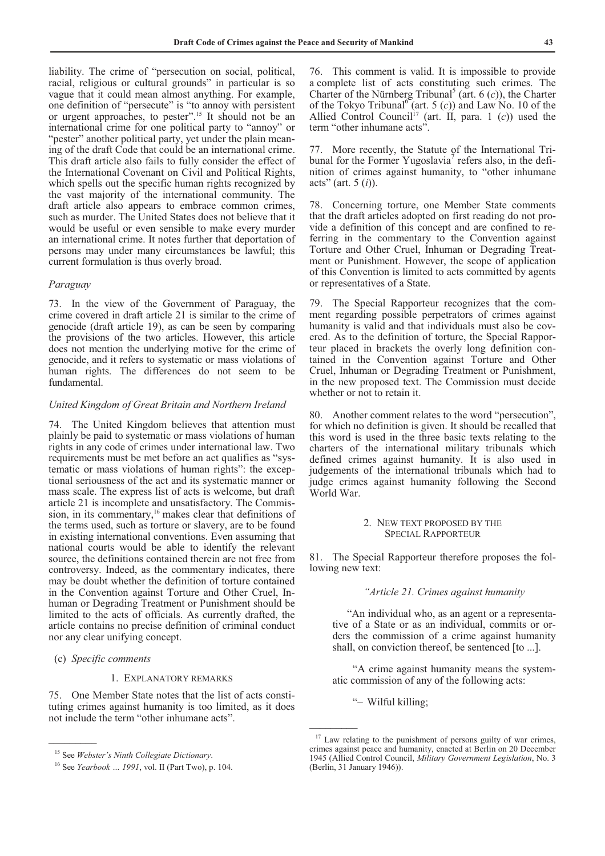liability. The crime of "persecution on social, political, racial, religious or cultural grounds" in particular is so vague that it could mean almost anything. For example, one definition of "persecute" is "to annoy with persistent or urgent approaches, to pester".15 It should not be an international crime for one political party to "annoy" or "pester" another political party, yet under the plain meaning of the draft Code that could be an international crime. This draft article also fails to fully consider the effect of the International Covenant on Civil and Political Rights, which spells out the specific human rights recognized by the vast majority of the international community. The draft article also appears to embrace common crimes, such as murder. The United States does not believe that it would be useful or even sensible to make every murder an international crime. It notes further that deportation of persons may under many circumstances be lawful; this current formulation is thus overly broad.

#### *Paraguay*

73. In the view of the Government of Paraguay, the crime covered in draft article 21 is similar to the crime of genocide (draft article 19), as can be seen by comparing the provisions of the two articles. However, this article does not mention the underlying motive for the crime of genocide, and it refers to systematic or mass violations of human rights. The differences do not seem to be fundamental.

# *United Kingdom of Great Britain and Northern Ireland*

74. The United Kingdom believes that attention must plainly be paid to systematic or mass violations of human rights in any code of crimes under international law. Two requirements must be met before an act qualifies as "systematic or mass violations of human rights": the exceptional seriousness of the act and its systematic manner or mass scale. The express list of acts is welcome, but draft article 21 is incomplete and unsatisfactory. The Commission, in its commentary,<sup>16</sup> makes clear that definitions of the terms used, such as torture or slavery, are to be found in existing international conventions. Even assuming that national courts would be able to identify the relevant source, the definitions contained therein are not free from controversy. Indeed, as the commentary indicates, there may be doubt whether the definition of torture contained in the Convention against Torture and Other Cruel, Inhuman or Degrading Treatment or Punishment should be limited to the acts of officials. As currently drafted, the article contains no precise definition of criminal conduct nor any clear unifying concept.

# (c) *Specific comments*

 $\overline{\phantom{a}}$ 

#### 1. EXPLANATORY REMARKS

75. One Member State notes that the list of acts constituting crimes against humanity is too limited, as it does not include the term "other inhumane acts".

76. This comment is valid. It is impossible to provide a complete list of acts constituting such crimes. The Charter of the Nürnberg Tribunal<sup>5</sup> (art. 6  $(c)$ ), the Charter of the Tokyo Tribunal<sup>6</sup> (art. 5 (c)) and Law No. 10 of the Allied Control Council<sup>17</sup> (art. II, para. 1 (*c*)) used the term "other inhumane acts".

77. More recently, the Statute of the International Tribunal for the Former Yugoslavia<sup>7</sup> refers also, in the definition of crimes against humanity, to "other inhumane acts" (art. 5 (*i*)).

78. Concerning torture, one Member State comments that the draft articles adopted on first reading do not provide a definition of this concept and are confined to referring in the commentary to the Convention against Torture and Other Cruel, Inhuman or Degrading Treatment or Punishment. However, the scope of application of this Convention is limited to acts committed by agents or representatives of a State.

79. The Special Rapporteur recognizes that the comment regarding possible perpetrators of crimes against humanity is valid and that individuals must also be covered. As to the definition of torture, the Special Rapporteur placed in brackets the overly long definition contained in the Convention against Torture and Other Cruel, Inhuman or Degrading Treatment or Punishment, in the new proposed text. The Commission must decide whether or not to retain it.

80. Another comment relates to the word "persecution", for which no definition is given. It should be recalled that this word is used in the three basic texts relating to the charters of the international military tribunals which defined crimes against humanity. It is also used in judgements of the international tribunals which had to judge crimes against humanity following the Second World War.

#### 2. NEW TEXT PROPOSED BY THE SPECIAL RAPPORTEUR

81. The Special Rapporteur therefore proposes the following new text:

#### *"Article 21. Crimes against humanity*

 "An individual who, as an agent or a representative of a State or as an individual, commits or orders the commission of a crime against humanity shall, on conviction thereof, be sentenced [to ...].

 "A crime against humanity means the systematic commission of any of the following acts:

"– Wilful killing;

<sup>15</sup> See *Webster's Ninth Collegiate Dictionary*.

<sup>16</sup> See *Yearbook … 1991*, vol. II (Part Two), p. 104.

 $17$  Law relating to the punishment of persons guilty of war crimes, crimes against peace and humanity, enacted at Berlin on 20 December 1945 (Allied Control Council, *Military Government Legislation*, No. 3 (Berlin, 31 January 1946)).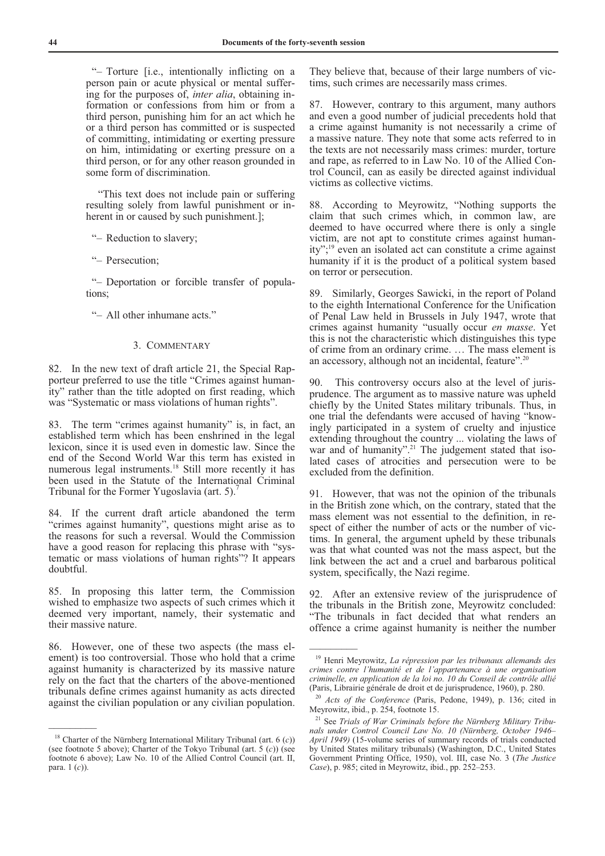"– Torture [i.e., intentionally inflicting on a person pain or acute physical or mental suffering for the purposes of, *inter alia*, obtaining information or confessions from him or from a third person, punishing him for an act which he or a third person has committed or is suspected of committing, intimidating or exerting pressure on him, intimidating or exerting pressure on a third person, or for any other reason grounded in some form of discrimination.

 "This text does not include pain or suffering resulting solely from lawful punishment or inherent in or caused by such punishment.];

"– Reduction to slavery;

"– Persecution;

 "– Deportation or forcible transfer of populations;

"– All other inhumane acts."

## 3. COMMENTARY

82. In the new text of draft article 21, the Special Rapporteur preferred to use the title "Crimes against humanity" rather than the title adopted on first reading, which was "Systematic or mass violations of human rights".

83. The term "crimes against humanity" is, in fact, an established term which has been enshrined in the legal lexicon, since it is used even in domestic law. Since the end of the Second World War this term has existed in numerous legal instruments.18 Still more recently it has been used in the Statute of the International Criminal Tribunal for the Former Yugoslavia (art. 5).7

84. If the current draft article abandoned the term "crimes against humanity", questions might arise as to the reasons for such a reversal. Would the Commission have a good reason for replacing this phrase with "systematic or mass violations of human rights"? It appears doubtful.

85. In proposing this latter term, the Commission wished to emphasize two aspects of such crimes which it deemed very important, namely, their systematic and their massive nature.

86. However, one of these two aspects (the mass element) is too controversial. Those who hold that a crime against humanity is characterized by its massive nature rely on the fact that the charters of the above-mentioned tribunals define crimes against humanity as acts directed against the civilian population or any civilian population.

 $\frac{1}{2}$ 

They believe that, because of their large numbers of victims, such crimes are necessarily mass crimes.

87. However, contrary to this argument, many authors and even a good number of judicial precedents hold that a crime against humanity is not necessarily a crime of a massive nature. They note that some acts referred to in the texts are not necessarily mass crimes: murder, torture and rape, as referred to in Law No. 10 of the Allied Control Council, can as easily be directed against individual victims as collective victims.

88. According to Meyrowitz, "Nothing supports the claim that such crimes which, in common law, are deemed to have occurred where there is only a single victim, are not apt to constitute crimes against humanity";<sup>19</sup> even an isolated act can constitute a crime against humanity if it is the product of a political system based on terror or persecution.

89. Similarly, Georges Sawicki, in the report of Poland to the eighth International Conference for the Unification of Penal Law held in Brussels in July 1947, wrote that crimes against humanity "usually occur *en masse*. Yet this is not the characteristic which distinguishes this type of crime from an ordinary crime. … The mass element is an accessory, although not an incidental, feature".20

90. This controversy occurs also at the level of jurisprudence. The argument as to massive nature was upheld chiefly by the United States military tribunals. Thus, in one trial the defendants were accused of having "knowingly participated in a system of cruelty and injustice extending throughout the country ... violating the laws of war and of humanity".<sup>21</sup> The judgement stated that isolated cases of atrocities and persecution were to be excluded from the definition.

91. However, that was not the opinion of the tribunals in the British zone which, on the contrary, stated that the mass element was not essential to the definition, in respect of either the number of acts or the number of victims. In general, the argument upheld by these tribunals was that what counted was not the mass aspect, but the link between the act and a cruel and barbarous political system, specifically, the Nazi regime.

92. After an extensive review of the jurisprudence of the tribunals in the British zone, Meyrowitz concluded: "The tribunals in fact decided that what renders an offence a crime against humanity is neither the number

<sup>&</sup>lt;sup>18</sup> Charter of the Nürnberg International Military Tribunal (art.  $6(c)$ ) (see footnote 5 above); Charter of the Tokyo Tribunal (art. 5 (*c*)) (see footnote 6 above); Law No. 10 of the Allied Control Council (art. II, para. 1 (*c*)).

<sup>19</sup> Henri Meyrowitz, *La répression par les tribunaux allemands des crimes contre l'humanité et de l'appartenance à une organisation criminelle, en application de la loi no. 10 du Conseil de contrôle allié*  (Paris, Librairie générale de droit et de jurisprudence, 1960), p. 280.

<sup>20</sup> *Acts of the Conference* (Paris, Pedone, 1949), p. 136; cited in Meyrowitz, ibid., p. 254, footnote 15.

<sup>21</sup> See *Trials of War Criminals before the Nürnberg Military Tribunals under Control Council Law No. 10 (Nürnberg, October 1946– April 1949)* (15-volume series of summary records of trials conducted by United States military tribunals) (Washington, D.C., United States Government Printing Office, 1950), vol. III, case No. 3 (*The Justice Case*), p. 985; cited in Meyrowitz, ibid., pp. 252–253.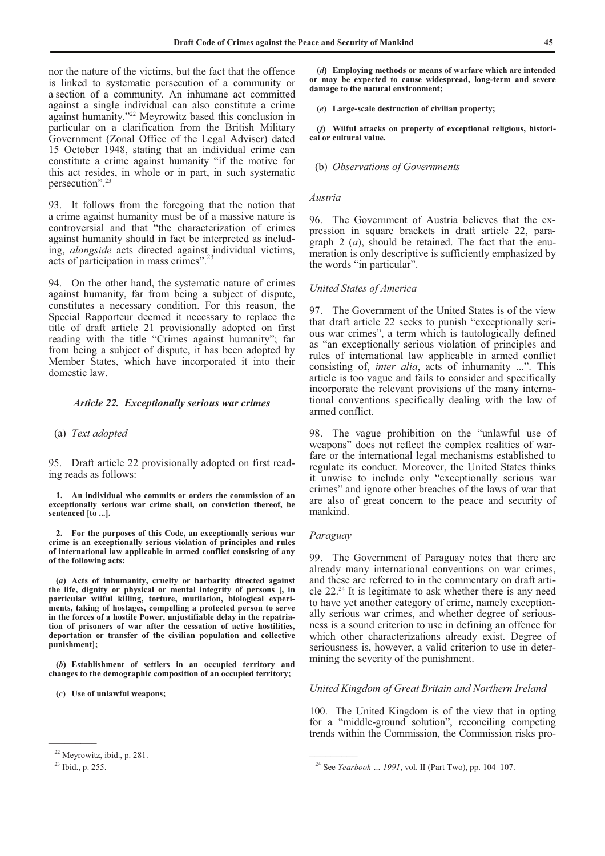nor the nature of the victims, but the fact that the offence is linked to systematic persecution of a community or a section of a community. An inhumane act committed against a single individual can also constitute a crime against humanity."22 Meyrowitz based this conclusion in particular on a clarification from the British Military Government (Zonal Office of the Legal Adviser) dated 15 October 1948, stating that an individual crime can constitute a crime against humanity "if the motive for this act resides, in whole or in part, in such systematic persecution".<sup>23</sup>

93. It follows from the foregoing that the notion that a crime against humanity must be of a massive nature is controversial and that "the characterization of crimes against humanity should in fact be interpreted as including, *alongside* acts directed against individual victims, acts of participation in mass crimes".<sup>23</sup>

94. On the other hand, the systematic nature of crimes against humanity, far from being a subject of dispute, constitutes a necessary condition. For this reason, the Special Rapporteur deemed it necessary to replace the title of draft article 21 provisionally adopted on first reading with the title "Crimes against humanity"; far from being a subject of dispute, it has been adopted by Member States, which have incorporated it into their domestic law.

#### *Article 22. Exceptionally serious war crimes*

#### (a) *Text adopted*

95. Draft article 22 provisionally adopted on first reading reads as follows:

 **1. An individual who commits or orders the commission of an exceptionally serious war crime shall, on conviction thereof, be sentenced [to ...].** 

 **2. For the purposes of this Code, an exceptionally serious war crime is an exceptionally serious violation of principles and rules of international law applicable in armed conflict consisting of any of the following acts:** 

 **(***a***) Acts of inhumanity, cruelty or barbarity directed against the life, dignity or physical or mental integrity of persons [, in particular wilful killing, torture, mutilation, biological experiments, taking of hostages, compelling a protected person to serve in the forces of a hostile Power, unjustifiable delay in the repatriation of prisoners of war after the cessation of active hostilities, deportation or transfer of the civilian population and collective punishment];**

 **(***b***) Establishment of settlers in an occupied territory and changes to the demographic composition of an occupied territory;** 

 **(***c***) Use of unlawful weapons;** 

 $\overline{\phantom{a}}$ 

 **(***d***) Employing methods or means of warfare which are intended or may be expected to cause widespread, long-term and severe damage to the natural environment;** 

 **(***e***) Large-scale destruction of civilian property;** 

 **(***f***) Wilful attacks on property of exceptional religious, historical or cultural value.** 

#### (b) *Observations of Governments*

# *Austria*

96. The Government of Austria believes that the expression in square brackets in draft article 22, paragraph 2 (*a*), should be retained. The fact that the enumeration is only descriptive is sufficiently emphasized by the words "in particular".

# *United States of America*

97. The Government of the United States is of the view that draft article 22 seeks to punish "exceptionally serious war crimes", a term which is tautologically defined as "an exceptionally serious violation of principles and rules of international law applicable in armed conflict consisting of, *inter alia*, acts of inhumanity ...". This article is too vague and fails to consider and specifically incorporate the relevant provisions of the many international conventions specifically dealing with the law of armed conflict.

98. The vague prohibition on the "unlawful use of weapons" does not reflect the complex realities of warfare or the international legal mechanisms established to regulate its conduct. Moreover, the United States thinks it unwise to include only "exceptionally serious war crimes" and ignore other breaches of the laws of war that are also of great concern to the peace and security of mankind.

#### *Paraguay*

 $\frac{1}{2}$ 

99. The Government of Paraguay notes that there are already many international conventions on war crimes, and these are referred to in the commentary on draft article 22.24 It is legitimate to ask whether there is any need to have yet another category of crime, namely exceptionally serious war crimes, and whether degree of seriousness is a sound criterion to use in defining an offence for which other characterizations already exist. Degree of seriousness is, however, a valid criterion to use in determining the severity of the punishment.

### *United Kingdom of Great Britain and Northern Ireland*

100. The United Kingdom is of the view that in opting for a "middle-ground solution", reconciling competing trends within the Commission, the Commission risks pro-

<sup>22</sup> Meyrowitz, ibid., p. 281.

 $23$  Ibid., p. 255.

<sup>24</sup> See *Yearbook … 1991*, vol. II (Part Two), pp. 104–107.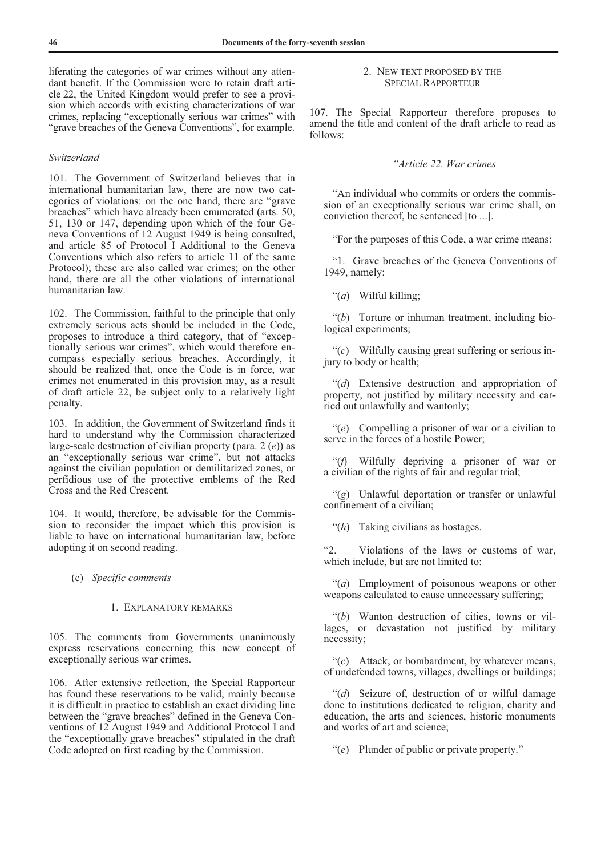liferating the categories of war crimes without any attendant benefit. If the Commission were to retain draft article 22, the United Kingdom would prefer to see a provision which accords with existing characterizations of war crimes, replacing "exceptionally serious war crimes" with "grave breaches of the Geneva Conventions", for example.

# *Switzerland*

101. The Government of Switzerland believes that in international humanitarian law, there are now two categories of violations: on the one hand, there are "grave breaches" which have already been enumerated (arts. 50, 51, 130 or 147, depending upon which of the four Geneva Conventions of 12 August 1949 is being consulted, and article 85 of Protocol I Additional to the Geneva Conventions which also refers to article 11 of the same Protocol); these are also called war crimes; on the other hand, there are all the other violations of international humanitarian law.

102. The Commission, faithful to the principle that only extremely serious acts should be included in the Code, proposes to introduce a third category, that of "exceptionally serious war crimes", which would therefore encompass especially serious breaches. Accordingly, it should be realized that, once the Code is in force, war crimes not enumerated in this provision may, as a result of draft article 22, be subject only to a relatively light penalty.

103. In addition, the Government of Switzerland finds it hard to understand why the Commission characterized large-scale destruction of civilian property (para. 2 (*e*)) as an "exceptionally serious war crime", but not attacks against the civilian population or demilitarized zones, or perfidious use of the protective emblems of the Red Cross and the Red Crescent.

104. It would, therefore, be advisable for the Commission to reconsider the impact which this provision is liable to have on international humanitarian law, before adopting it on second reading.

# (c) *Specific comments*

#### 1. EXPLANATORY REMARKS

105. The comments from Governments unanimously express reservations concerning this new concept of exceptionally serious war crimes.

106. After extensive reflection, the Special Rapporteur has found these reservations to be valid, mainly because it is difficult in practice to establish an exact dividing line between the "grave breaches" defined in the Geneva Conventions of 12 August 1949 and Additional Protocol I and the "exceptionally grave breaches" stipulated in the draft Code adopted on first reading by the Commission.

# 2. NEW TEXT PROPOSED BY THE SPECIAL RAPPORTEUR

107. The Special Rapporteur therefore proposes to amend the title and content of the draft article to read as follows:

# *"Article 22. War crimes*

 "An individual who commits or orders the commission of an exceptionally serious war crime shall, on conviction thereof, be sentenced [to ...].

"For the purposes of this Code, a war crime means:

 "1. Grave breaches of the Geneva Conventions of 1949, namely:

"(*a*) Wilful killing;

 "(*b*) Torture or inhuman treatment, including biological experiments;

 "(*c*) Wilfully causing great suffering or serious injury to body or health;

 "(*d*) Extensive destruction and appropriation of property, not justified by military necessity and carried out unlawfully and wantonly;

 "(*e*) Compelling a prisoner of war or a civilian to serve in the forces of a hostile Power;

 "(*f*) Wilfully depriving a prisoner of war or a civilian of the rights of fair and regular trial;

 "(*g*) Unlawful deportation or transfer or unlawful confinement of a civilian;

"(*h*) Taking civilians as hostages.

"2. Violations of the laws or customs of war, which include, but are not limited to:

 "(*a*) Employment of poisonous weapons or other weapons calculated to cause unnecessary suffering;

 "(*b*) Wanton destruction of cities, towns or villages, or devastation not justified by military necessity;

 "(*c*) Attack, or bombardment, by whatever means, of undefended towns, villages, dwellings or buildings;

 "(*d*) Seizure of, destruction of or wilful damage done to institutions dedicated to religion, charity and education, the arts and sciences, historic monuments and works of art and science;

"(*e*) Plunder of public or private property."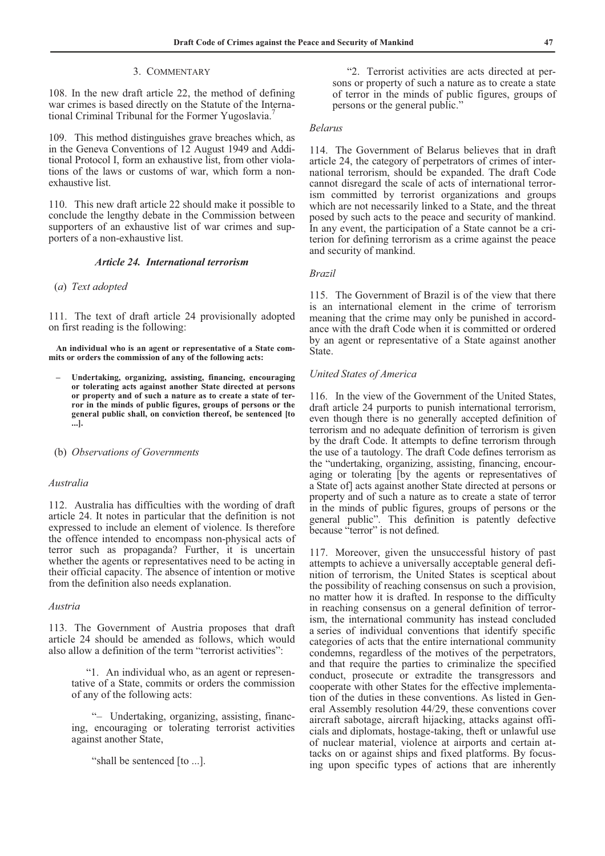# 3. COMMENTARY

108. In the new draft article 22, the method of defining war crimes is based directly on the Statute of the International Criminal Tribunal for the Former Yugoslavia.7

109. This method distinguishes grave breaches which, as in the Geneva Conventions of 12 August 1949 and Additional Protocol I, form an exhaustive list, from other violations of the laws or customs of war, which form a nonexhaustive list.

110. This new draft article 22 should make it possible to conclude the lengthy debate in the Commission between supporters of an exhaustive list of war crimes and supporters of a non-exhaustive list.

# *Article 24. International terrorism*

# (*a*) *Text adopted*

111. The text of draft article 24 provisionally adopted on first reading is the following:

 **An individual who is an agent or representative of a State commits or orders the commission of any of the following acts:** 

- **Undertaking, organizing, assisting, financing, encouraging or tolerating acts against another State directed at persons or property and of such a nature as to create a state of terror in the minds of public figures, groups of persons or the general public shall, on conviction thereof, be sentenced [to ...].**
- (b) *Observations of Governments*

# *Australia*

112. Australia has difficulties with the wording of draft article 24. It notes in particular that the definition is not expressed to include an element of violence. Is therefore the offence intended to encompass non-physical acts of terror such as propaganda? Further, it is uncertain whether the agents or representatives need to be acting in their official capacity. The absence of intention or motive from the definition also needs explanation.

#### *Austria*

113. The Government of Austria proposes that draft article 24 should be amended as follows, which would also allow a definition of the term "terrorist activities":

 "1. An individual who, as an agent or representative of a State, commits or orders the commission of any of the following acts:

 "– Undertaking, organizing, assisting, financing, encouraging or tolerating terrorist activities against another State,

"shall be sentenced [to ...].

 "2. Terrorist activities are acts directed at persons or property of such a nature as to create a state of terror in the minds of public figures, groups of persons or the general public."

#### *Belarus*

114. The Government of Belarus believes that in draft article 24, the category of perpetrators of crimes of international terrorism, should be expanded. The draft Code cannot disregard the scale of acts of international terrorism committed by terrorist organizations and groups which are not necessarily linked to a State, and the threat posed by such acts to the peace and security of mankind. In any event, the participation of a State cannot be a criterion for defining terrorism as a crime against the peace and security of mankind.

#### *Brazil*

115. The Government of Brazil is of the view that there is an international element in the crime of terrorism meaning that the crime may only be punished in accordance with the draft Code when it is committed or ordered by an agent or representative of a State against another State.

## *United States of America*

116. In the view of the Government of the United States, draft article 24 purports to punish international terrorism, even though there is no generally accepted definition of terrorism and no adequate definition of terrorism is given by the draft Code. It attempts to define terrorism through the use of a tautology. The draft Code defines terrorism as the "undertaking, organizing, assisting, financing, encouraging or tolerating [by the agents or representatives of a State of] acts against another State directed at persons or property and of such a nature as to create a state of terror in the minds of public figures, groups of persons or the general public". This definition is patently defective because "terror" is not defined.

117. Moreover, given the unsuccessful history of past attempts to achieve a universally acceptable general definition of terrorism, the United States is sceptical about the possibility of reaching consensus on such a provision, no matter how it is drafted. In response to the difficulty in reaching consensus on a general definition of terrorism, the international community has instead concluded a series of individual conventions that identify specific categories of acts that the entire international community condemns, regardless of the motives of the perpetrators, and that require the parties to criminalize the specified conduct, prosecute or extradite the transgressors and cooperate with other States for the effective implementation of the duties in these conventions. As listed in General Assembly resolution 44/29, these conventions cover aircraft sabotage, aircraft hijacking, attacks against officials and diplomats, hostage-taking, theft or unlawful use of nuclear material, violence at airports and certain attacks on or against ships and fixed platforms. By focusing upon specific types of actions that are inherently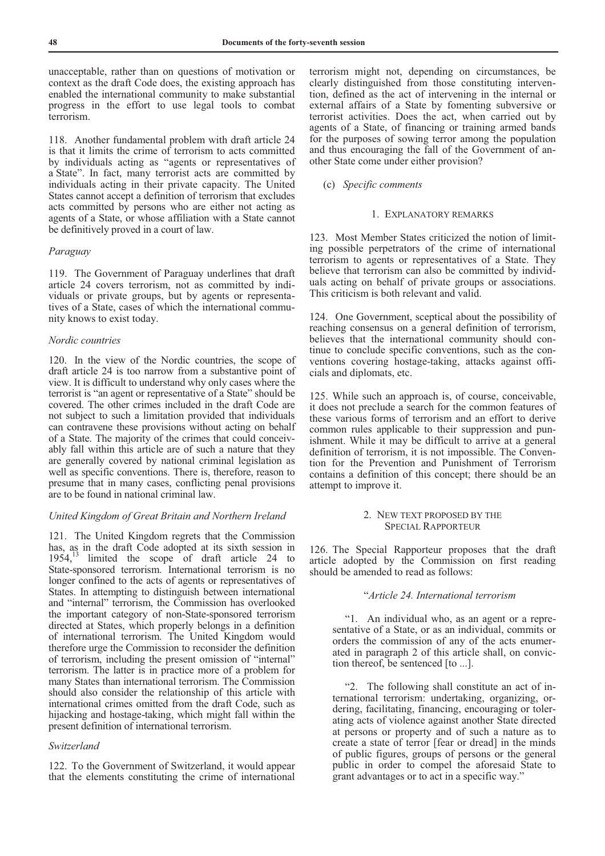unacceptable, rather than on questions of motivation or context as the draft Code does, the existing approach has enabled the international community to make substantial progress in the effort to use legal tools to combat terrorism.

118. Another fundamental problem with draft article 24 is that it limits the crime of terrorism to acts committed by individuals acting as "agents or representatives of a State". In fact, many terrorist acts are committed by individuals acting in their private capacity. The United States cannot accept a definition of terrorism that excludes acts committed by persons who are either not acting as agents of a State, or whose affiliation with a State cannot be definitively proved in a court of law.

# *Paraguay*

119. The Government of Paraguay underlines that draft article 24 covers terrorism, not as committed by individuals or private groups, but by agents or representatives of a State, cases of which the international community knows to exist today.

# *Nordic countries*

120. In the view of the Nordic countries, the scope of draft article 24 is too narrow from a substantive point of view. It is difficult to understand why only cases where the terrorist is "an agent or representative of a State" should be covered. The other crimes included in the draft Code are not subject to such a limitation provided that individuals can contravene these provisions without acting on behalf of a State. The majority of the crimes that could conceivably fall within this article are of such a nature that they are generally covered by national criminal legislation as well as specific conventions. There is, therefore, reason to presume that in many cases, conflicting penal provisions are to be found in national criminal law.

# *United Kingdom of Great Britain and Northern Ireland*

121. The United Kingdom regrets that the Commission has, as in the draft Code adopted at its sixth session in 1954,<sup>13</sup> limited the scope of draft article 24 to State-sponsored terrorism. International terrorism is no longer confined to the acts of agents or representatives of States. In attempting to distinguish between international and "internal" terrorism, the Commission has overlooked the important category of non-State-sponsored terrorism directed at States, which properly belongs in a definition of international terrorism. The United Kingdom would therefore urge the Commission to reconsider the definition of terrorism, including the present omission of "internal" terrorism. The latter is in practice more of a problem for many States than international terrorism. The Commission should also consider the relationship of this article with international crimes omitted from the draft Code, such as hijacking and hostage-taking, which might fall within the present definition of international terrorism.

#### *Switzerland*

122. To the Government of Switzerland, it would appear that the elements constituting the crime of international terrorism might not, depending on circumstances, be clearly distinguished from those constituting intervention, defined as the act of intervening in the internal or external affairs of a State by fomenting subversive or terrorist activities. Does the act, when carried out by agents of a State, of financing or training armed bands for the purposes of sowing terror among the population and thus encouraging the fall of the Government of another State come under either provision?

# (c) *Specific comments*

#### 1. EXPLANATORY REMARKS

123. Most Member States criticized the notion of limiting possible perpetrators of the crime of international terrorism to agents or representatives of a State. They believe that terrorism can also be committed by individuals acting on behalf of private groups or associations. This criticism is both relevant and valid.

124. One Government, sceptical about the possibility of reaching consensus on a general definition of terrorism, believes that the international community should continue to conclude specific conventions, such as the conventions covering hostage-taking, attacks against officials and diplomats, etc.

125. While such an approach is, of course, conceivable, it does not preclude a search for the common features of these various forms of terrorism and an effort to derive common rules applicable to their suppression and punishment. While it may be difficult to arrive at a general definition of terrorism, it is not impossible. The Convention for the Prevention and Punishment of Terrorism contains a definition of this concept; there should be an attempt to improve it.

# 2. NEW TEXT PROPOSED BY THE SPECIAL RAPPORTEUR

126. The Special Rapporteur proposes that the draft article adopted by the Commission on first reading should be amended to read as follows:

# "*Article 24. International terrorism*

 "1. An individual who, as an agent or a representative of a State, or as an individual, commits or orders the commission of any of the acts enumerated in paragraph 2 of this article shall, on conviction thereof, be sentenced [to ...].

 "2. The following shall constitute an act of international terrorism: undertaking, organizing, ordering, facilitating, financing, encouraging or tolerating acts of violence against another State directed at persons or property and of such a nature as to create a state of terror [fear or dread] in the minds of public figures, groups of persons or the general public in order to compel the aforesaid State to grant advantages or to act in a specific way."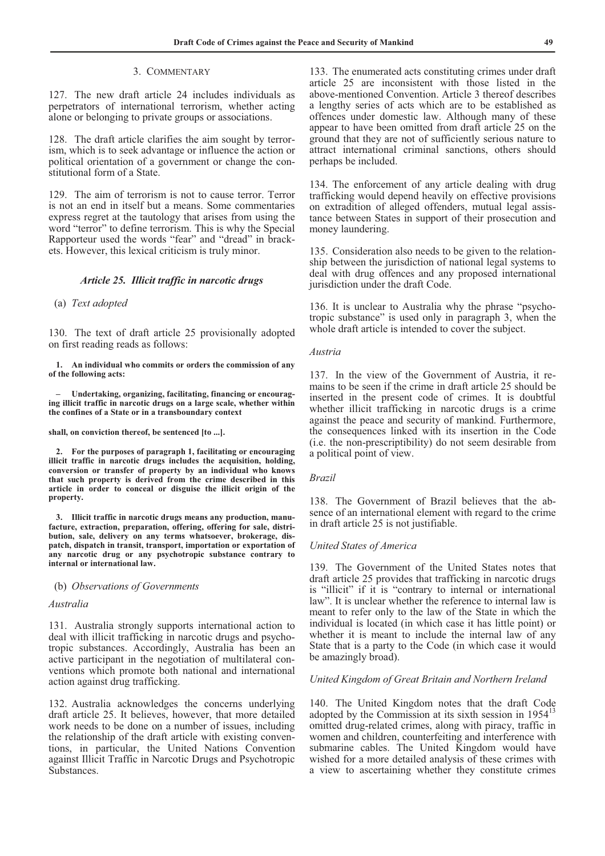# 3. COMMENTARY

127. The new draft article 24 includes individuals as perpetrators of international terrorism, whether acting alone or belonging to private groups or associations.

128. The draft article clarifies the aim sought by terrorism, which is to seek advantage or influence the action or political orientation of a government or change the constitutional form of a State.

129. The aim of terrorism is not to cause terror. Terror is not an end in itself but a means. Some commentaries express regret at the tautology that arises from using the word "terror" to define terrorism. This is why the Special Rapporteur used the words "fear" and "dread" in brackets. However, this lexical criticism is truly minor.

# *Article 25. Illicit traffic in narcotic drugs*

### (a) *Text adopted*

130. The text of draft article 25 provisionally adopted on first reading reads as follows:

 **1. An individual who commits or orders the commission of any of the following acts:** 

 **– Undertaking, organizing, facilitating, financing or encouraging illicit traffic in narcotic drugs on a large scale, whether within the confines of a State or in a transboundary context** 

**shall, on conviction thereof, be sentenced [to ...].** 

 **2. For the purposes of paragraph 1, facilitating or encouraging illicit traffic in narcotic drugs includes the acquisition, holding, conversion or transfer of property by an individual who knows that such property is derived from the crime described in this article in order to conceal or disguise the illicit origin of the property.** 

 **3. Illicit traffic in narcotic drugs means any production, manufacture, extraction, preparation, offering, offering for sale, distribution, sale, delivery on any terms whatsoever, brokerage, dispatch, dispatch in transit, transport, importation or exportation of any narcotic drug or any psychotropic substance contrary to internal or international law.** 

(b) *Observations of Governments* 

# *Australia*

131. Australia strongly supports international action to deal with illicit trafficking in narcotic drugs and psychotropic substances. Accordingly, Australia has been an active participant in the negotiation of multilateral conventions which promote both national and international action against drug trafficking.

132. Australia acknowledges the concerns underlying draft article 25. It believes, however, that more detailed work needs to be done on a number of issues, including the relationship of the draft article with existing conventions, in particular, the United Nations Convention against Illicit Traffic in Narcotic Drugs and Psychotropic Substances.

133. The enumerated acts constituting crimes under draft article 25 are inconsistent with those listed in the above-mentioned Convention. Article 3 thereof describes a lengthy series of acts which are to be established as offences under domestic law. Although many of these appear to have been omitted from draft article 25 on the ground that they are not of sufficiently serious nature to attract international criminal sanctions, others should perhaps be included.

134. The enforcement of any article dealing with drug trafficking would depend heavily on effective provisions on extradition of alleged offenders, mutual legal assistance between States in support of their prosecution and money laundering.

135. Consideration also needs to be given to the relationship between the jurisdiction of national legal systems to deal with drug offences and any proposed international jurisdiction under the draft Code.

136. It is unclear to Australia why the phrase "psychotropic substance" is used only in paragraph 3, when the whole draft article is intended to cover the subject.

# *Austria*

137. In the view of the Government of Austria, it remains to be seen if the crime in draft article 25 should be inserted in the present code of crimes. It is doubtful whether illicit trafficking in narcotic drugs is a crime against the peace and security of mankind. Furthermore, the consequences linked with its insertion in the Code (i.e. the non-prescriptibility) do not seem desirable from a political point of view.

### *Brazil*

138. The Government of Brazil believes that the absence of an international element with regard to the crime in draft article 25 is not justifiable.

#### *United States of America*

139. The Government of the United States notes that draft article 25 provides that trafficking in narcotic drugs is "illicit" if it is "contrary to internal or international law". It is unclear whether the reference to internal law is meant to refer only to the law of the State in which the individual is located (in which case it has little point) or whether it is meant to include the internal law of any State that is a party to the Code (in which case it would be amazingly broad).

#### *United Kingdom of Great Britain and Northern Ireland*

140. The United Kingdom notes that the draft Code adopted by the Commission at its sixth session in  $1954<sup>1</sup>$ omitted drug-related crimes, along with piracy, traffic in women and children, counterfeiting and interference with submarine cables. The United Kingdom would have wished for a more detailed analysis of these crimes with a view to ascertaining whether they constitute crimes